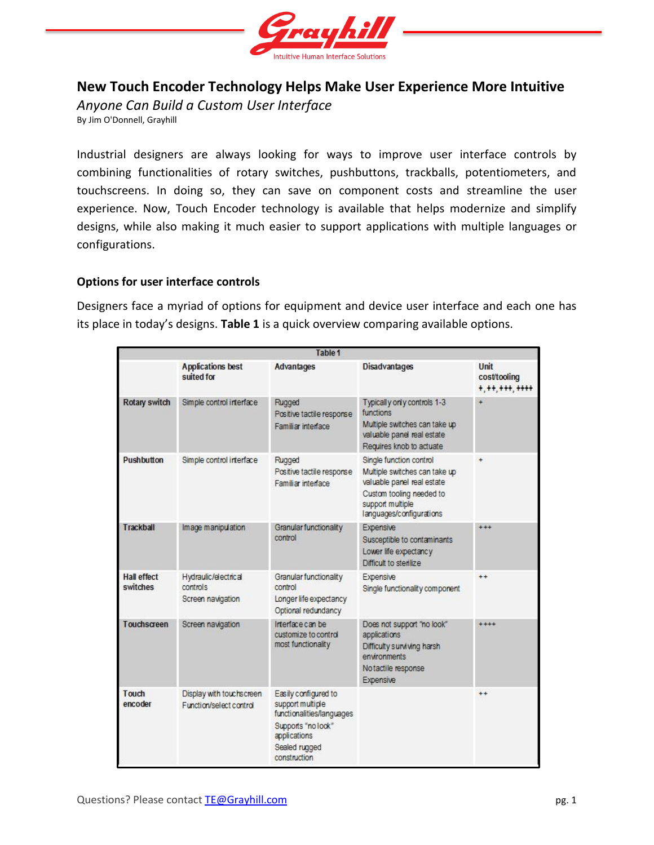

# **New Touch Encoder Technology Helps Make User Experience More Intuitive**

*Anyone Can Build a Custom User Interface*

By Jim O'Donnell, Grayhill

Industrial designers are always looking for ways to improve user interface controls by combining functionalities of rotary switches, pushbuttons, trackballs, potentiometers, and touchscreens. In doing so, they can save on component costs and streamline the user experience. Now, Touch Encoder technology is available that helps modernize and simplify designs, while also making it much easier to support applications with multiple languages or configurations.

# **Options for user interface controls**

Designers face a myriad of options for equipment and device user interface and each one has its place in today's designs. **Table 1** is a quick overview comparing available options.

| Table 1                        |                                                       |                                                                                                                                              |                                                                                                                                                                    |                                        |
|--------------------------------|-------------------------------------------------------|----------------------------------------------------------------------------------------------------------------------------------------------|--------------------------------------------------------------------------------------------------------------------------------------------------------------------|----------------------------------------|
|                                | <b>Applications best</b><br>suited for                | <b>Advantages</b>                                                                                                                            | <b>Disadvantages</b>                                                                                                                                               | Unit<br>cost/tooling<br>$+, ++, ++, +$ |
| <b>Rotary switch</b>           | Simple control interface                              | Rugged<br>Positive tactile response<br>Familiar interface                                                                                    | Typically only controls 1-3<br>functions<br>Multiple switches can take up<br>valuable panel real estate<br>Requires knob to actuate                                | $\ddot{}$                              |
| <b>Pushbutton</b>              | Simple control interface                              | Rugged<br>Positive tactile response<br>Familiar interface                                                                                    | Single function control<br>Multiple switches can take up<br>valuable panel real estate<br>Custom tooling needed to<br>support multiple<br>languages/configurations |                                        |
| Trackball                      | Image manipulation                                    | Granular functionality<br>control                                                                                                            | Expensive<br>Susceptible to contaminants<br>Lower life expectancy<br>Difficult to sterilize                                                                        | $***$                                  |
| <b>Hall effect</b><br>switches | Hydraulic/electrical<br>controls<br>Screen navigation | Granular functionality<br>control<br>Longer life expectancy<br>Optional redundancy                                                           | Expensive<br>Single functionality component                                                                                                                        | $++$                                   |
| Touchscreen                    | Screen navigation                                     | Interface can be<br>customize to control<br>most functionality                                                                               | Does not support "no look"<br>applications<br>Difficulty surviving harsh<br>environments<br>Notactile response<br>Expensive                                        | $***$                                  |
| Touch<br>encoder               | Display with touchscreen<br>Function/select control   | Easily configured to<br>support multiple<br>functionalities/languages<br>Supports "no look"<br>applications<br>Sealed rugged<br>construction |                                                                                                                                                                    | $++$                                   |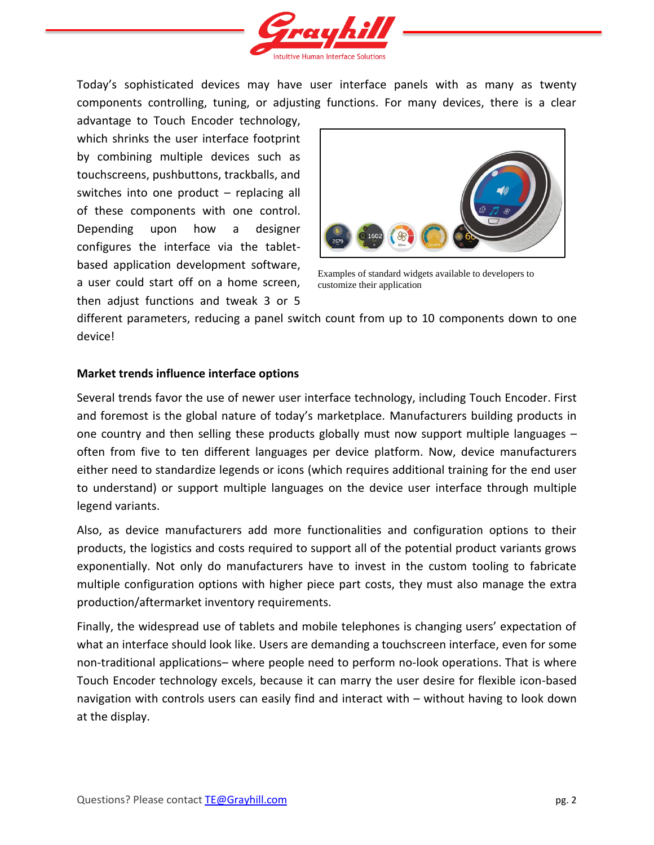

Today's sophisticated devices may have user interface panels with as many as twenty components controlling, tuning, or adjusting functions. For many devices, there is a clear

advantage to Touch Encoder technology, which shrinks the user interface footprint by combining multiple devices such as touchscreens, pushbuttons, trackballs, and switches into one product – replacing all of these components with one control. Depending upon how a designer configures the interface via the tabletbased application development software, a user could start off on a home screen, then adjust functions and tweak 3 or 5



Examples of standard widgets available to developers to customize their application

different parameters, reducing a panel switch count from up to 10 components down to one device!

# **Market trends influence interface options**

Several trends favor the use of newer user interface technology, including Touch Encoder. First and foremost is the global nature of today's marketplace. Manufacturers building products in one country and then selling these products globally must now support multiple languages – often from five to ten different languages per device platform. Now, device manufacturers either need to standardize legends or icons (which requires additional training for the end user to understand) or support multiple languages on the device user interface through multiple legend variants.

Also, as device manufacturers add more functionalities and configuration options to their products, the logistics and costs required to support all of the potential product variants grows exponentially. Not only do manufacturers have to invest in the custom tooling to fabricate multiple configuration options with higher piece part costs, they must also manage the extra production/aftermarket inventory requirements.

Finally, the widespread use of tablets and mobile telephones is changing users' expectation of what an interface should look like. Users are demanding a touchscreen interface, even for some non-traditional applications– where people need to perform no-look operations. That is where Touch Encoder technology excels, because it can marry the user desire for flexible icon-based navigation with controls users can easily find and interact with – without having to look down at the display.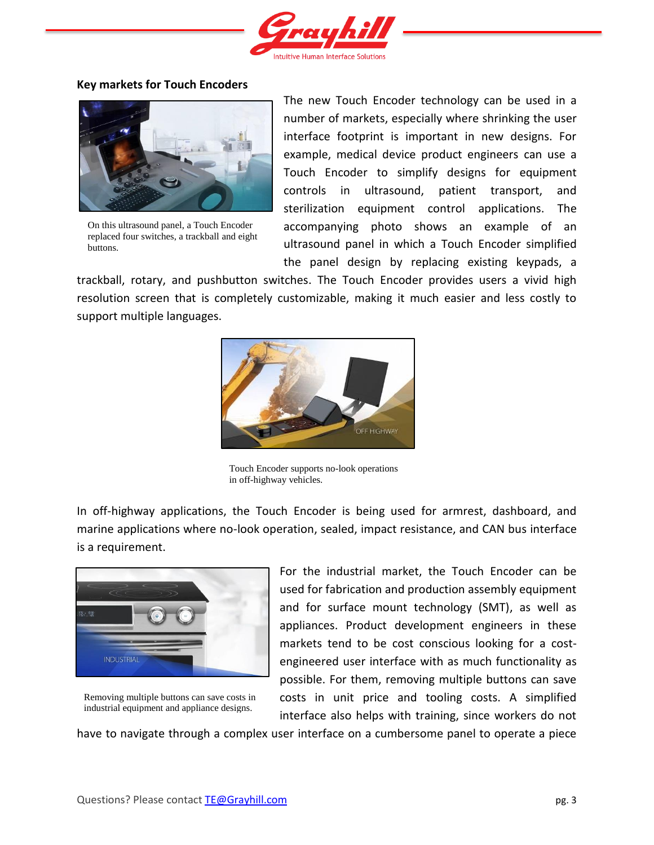

## **Key markets for Touch Encoders**



On this ultrasound panel, a Touch Encoder replaced four switches, a trackball and eight buttons.

The new Touch Encoder technology can be used in a number of markets, especially where shrinking the user interface footprint is important in new designs. For example, medical device product engineers can use a Touch Encoder to simplify designs for equipment controls in ultrasound, patient transport, and sterilization equipment control applications. The accompanying photo shows an example of an ultrasound panel in which a Touch Encoder simplified the panel design by replacing existing keypads, a

trackball, rotary, and pushbutton switches. The Touch Encoder provides users a vivid high resolution screen that is completely customizable, making it much easier and less costly to support multiple languages.



Touch Encoder supports no-look operations in off-highway vehicles.

In off-highway applications, the Touch Encoder is being used for armrest, dashboard, and marine applications where no-look operation, sealed, impact resistance, and CAN bus interface is a requirement.



Removing multiple buttons can save costs in industrial equipment and appliance designs.

For the industrial market, the Touch Encoder can be used for fabrication and production assembly equipment and for surface mount technology (SMT), as well as appliances. Product development engineers in these markets tend to be cost conscious looking for a costengineered user interface with as much functionality as possible. For them, removing multiple buttons can save costs in unit price and tooling costs. A simplified interface also helps with training, since workers do not

have to navigate through a complex user interface on a cumbersome panel to operate a piece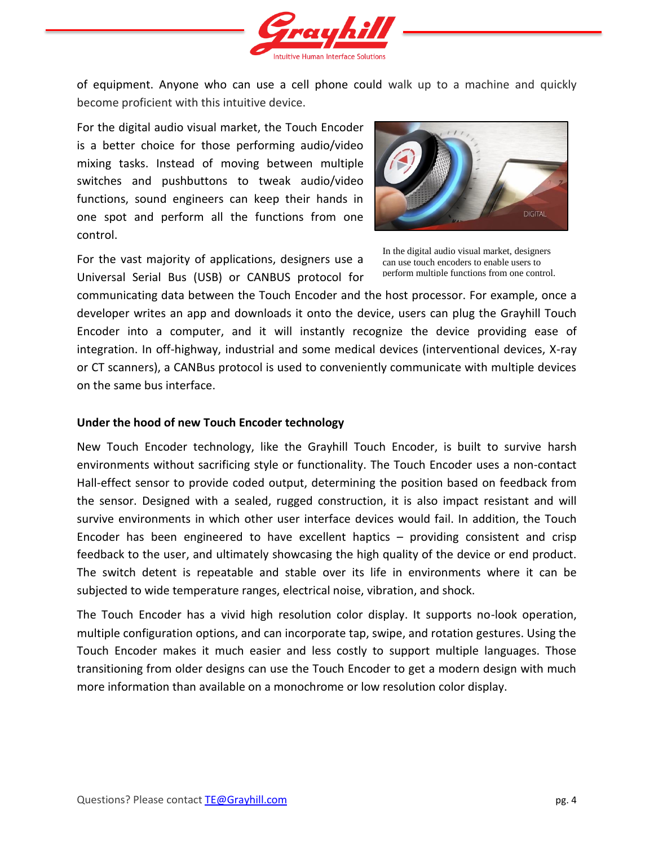

of equipment. Anyone who can use a cell phone could walk up to a machine and quickly become proficient with this intuitive device.

For the digital audio visual market, the Touch Encoder is a better choice for those performing audio/video mixing tasks. Instead of moving between multiple switches and pushbuttons to tweak audio/video functions, sound engineers can keep their hands in one spot and perform all the functions from one control.

For the vast majority of applications, designers use a Universal Serial Bus (USB) or CANBUS protocol for



In the digital audio visual market, designers can use touch encoders to enable users to perform multiple functions from one control.

communicating data between the Touch Encoder and the host processor. For example, once a developer writes an app and downloads it onto the device, users can plug the Grayhill Touch Encoder into a computer, and it will instantly recognize the device providing ease of integration. In off-highway, industrial and some medical devices (interventional devices, X-ray or CT scanners), a CANBus protocol is used to conveniently communicate with multiple devices on the same bus interface.

## **Under the hood of new Touch Encoder technology**

New Touch Encoder technology, like the Grayhill Touch Encoder, is built to survive harsh environments without sacrificing style or functionality. The Touch Encoder uses a non-contact Hall-effect sensor to provide coded output, determining the position based on feedback from the sensor. Designed with a sealed, rugged construction, it is also impact resistant and will survive environments in which other user interface devices would fail. In addition, the Touch Encoder has been engineered to have excellent haptics – providing consistent and crisp feedback to the user, and ultimately showcasing the high quality of the device or end product. The switch detent is repeatable and stable over its life in environments where it can be subjected to wide temperature ranges, electrical noise, vibration, and shock.

The Touch Encoder has a vivid high resolution color display. It supports no-look operation, multiple configuration options, and can incorporate tap, swipe, and rotation gestures. Using the Touch Encoder makes it much easier and less costly to support multiple languages. Those transitioning from older designs can use the Touch Encoder to get a modern design with much more information than available on a monochrome or low resolution color display.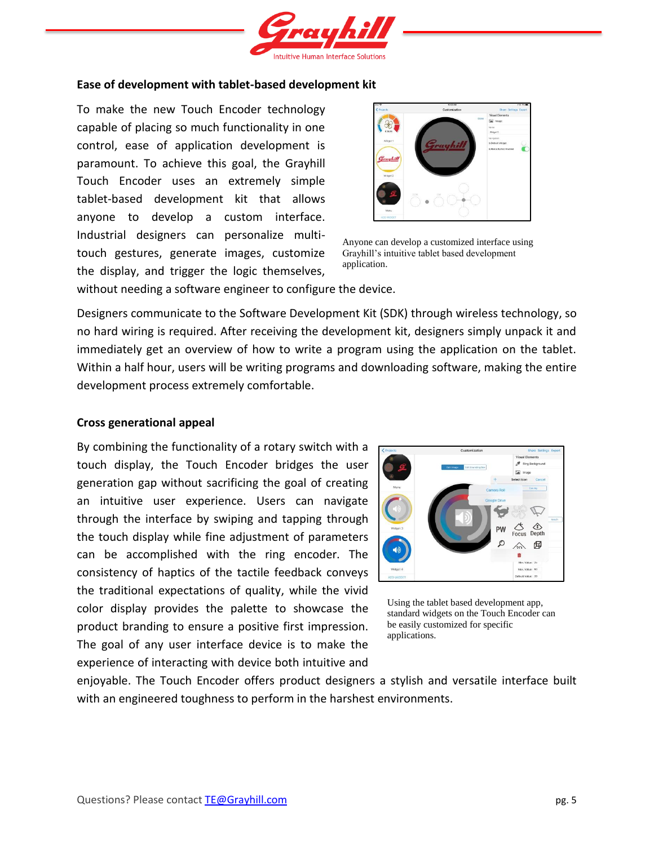

#### **Ease of development with tablet-based development kit**

To make the new Touch Encoder technology capable of placing so much functionality in one control, ease of application development is paramount. To achieve this goal, the Grayhill Touch Encoder uses an extremely simple tablet-based development kit that allows anyone to develop a custom interface. Industrial designers can personalize multitouch gestures, generate images, customize the display, and trigger the logic themselves,



Anyone can develop a customized interface using Grayhill's intuitive tablet based development application.

without needing a software engineer to configure the device.

Designers communicate to the Software Development Kit (SDK) through wireless technology, so no hard wiring is required. After receiving the development kit, designers simply unpack it and immediately get an overview of how to write a program using the application on the tablet. Within a half hour, users will be writing programs and downloading software, making the entire development process extremely comfortable.

#### **Cross generational appeal**

By combining the functionality of a rotary switch with a touch display, the Touch Encoder bridges the user generation gap without sacrificing the goal of creating an intuitive user experience. Users can navigate through the interface by swiping and tapping through the touch display while fine adjustment of parameters can be accomplished with the ring encoder. The consistency of haptics of the tactile feedback conveys the traditional expectations of quality, while the vivid color display provides the palette to showcase the product branding to ensure a positive first impression. The goal of any user interface device is to make the experience of interacting with device both intuitive and



Using the tablet based development app, standard widgets on the Touch Encoder can be easily customized for specific applications.

enjoyable. The Touch Encoder offers product designers a stylish and versatile interface built with an engineered toughness to perform in the harshest environments.